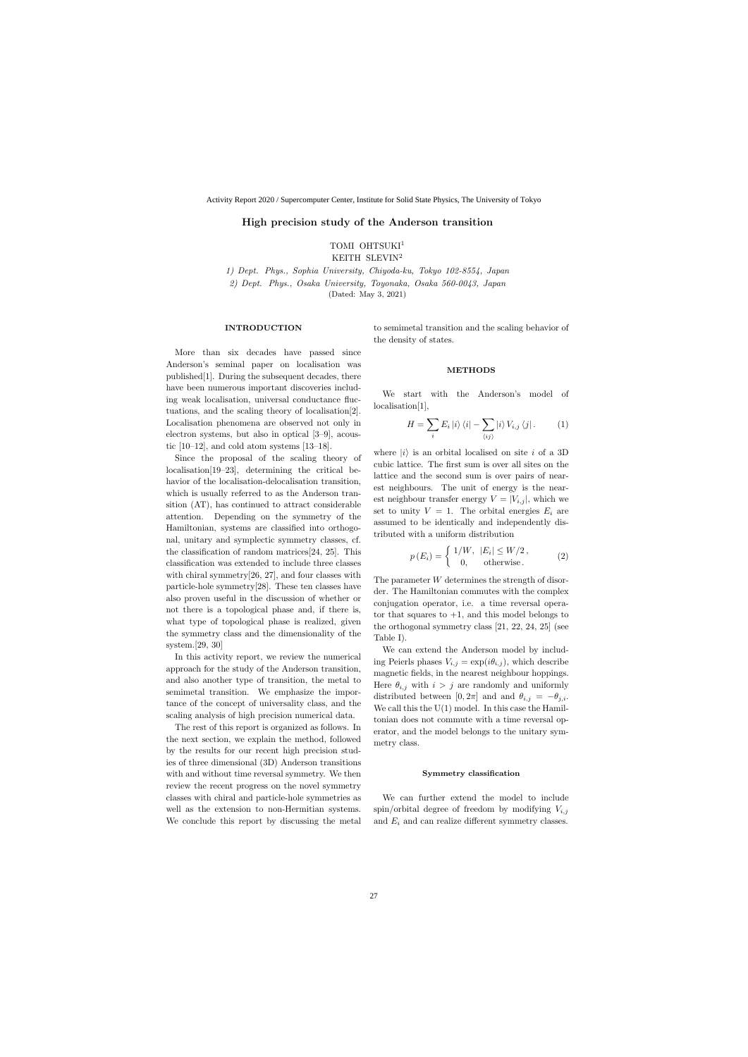# High precision study of the Anderson transition

TOMI OHTSUKI<sup>1</sup>

KEITH SLEVIN<sup>2</sup>

1) Dept. Phys., Sophia University, Chiyoda-ku, Tokyo 102-8554, Japan 2) Dept. Phys., Osaka University, Toyonaka, Osaka 560-0043, Japan (Dated: May 3, 2021)

## INTRODUCTION

More than six decades have passed since Anderson's seminal paper on localisation was published[1]. During the subsequent decades, there have been numerous important discoveries including weak localisation, universal conductance fluctuations, and the scaling theory of localisation[2]. Localisation phenomena are observed not only in electron systems, but also in optical [3–9], acoustic  $[10-12]$ , and cold atom systems  $[13-18]$ .

Since the proposal of the scaling theory of localisation[19–23], determining the critical behavior of the localisation-delocalisation transition, which is usually referred to as the Anderson transition (AT), has continued to attract considerable attention. Depending on the symmetry of the Hamiltonian, systems are classified into orthogonal, unitary and symplectic symmetry classes, cf. the classification of random matrices[24, 25]. This classification was extended to include three classes with chiral symmetry[26, 27], and four classes with particle-hole symmetry[28]. These ten classes have also proven useful in the discussion of whether or not there is a topological phase and, if there is, what type of topological phase is realized, given the symmetry class and the dimensionality of the system.[29, 30]

In this activity report, we review the numerical approach for the study of the Anderson transition, and also another type of transition, the metal to semimetal transition. We emphasize the importance of the concept of universality class, and the scaling analysis of high precision numerical data.

The rest of this report is organized as follows. In the next section, we explain the method, followed by the results for our recent high precision studies of three dimensional (3D) Anderson transitions with and without time reversal symmetry. We then review the recent progress on the novel symmetry classes with chiral and particle-hole symmetries as well as the extension to non-Hermitian systems. We conclude this report by discussing the metal

to semimetal transition and the scaling behavior of the density of states.

### METHODS

We start with the Anderson's model of localisation[1],

$$
H = \sum_{i} E_{i} |i\rangle\langle i| - \sum_{\langle ij \rangle} |i\rangle V_{i,j}\langle j|.
$$
 (1)

where  $|i\rangle$  is an orbital localised on site i of a 3D cubic lattice. The first sum is over all sites on the lattice and the second sum is over pairs of nearest neighbours. The unit of energy is the nearest neighbour transfer energy  $V = |V_{i,j}|$ , which we set to unity  $V = 1$ . The orbital energies  $E_i$  are assumed to be identically and independently distributed with a uniform distribution

$$
p(E_i) = \begin{cases} 1/W, & |E_i| \le W/2, \\ 0, & \text{otherwise.} \end{cases}
$$
 (2)

The parameter W determines the strength of disorder. The Hamiltonian commutes with the complex conjugation operator, i.e. a time reversal operator that squares to  $+1$ , and this model belongs to the orthogonal symmetry class [21, 22, 24, 25] (see Table I).

We can extend the Anderson model by including Peierls phases  $V_{i,j} = \exp(i\theta_{i,j})$ , which describe magnetic fields, in the nearest neighbour hoppings. Here  $\theta_{i,j}$  with  $i > j$  are randomly and uniformly distributed between [0, 2π] and and  $\theta_{i,j} = -\theta_{j,i}$ . We call this the  $U(1)$  model. In this case the Hamiltonian does not commute with a time reversal operator, and the model belongs to the unitary symmetry class.

#### Symmetry classification

We can further extend the model to include spin/orbital degree of freedom by modifying  $V_{i,j}$ and  $E_i$  and can realize different symmetry classes.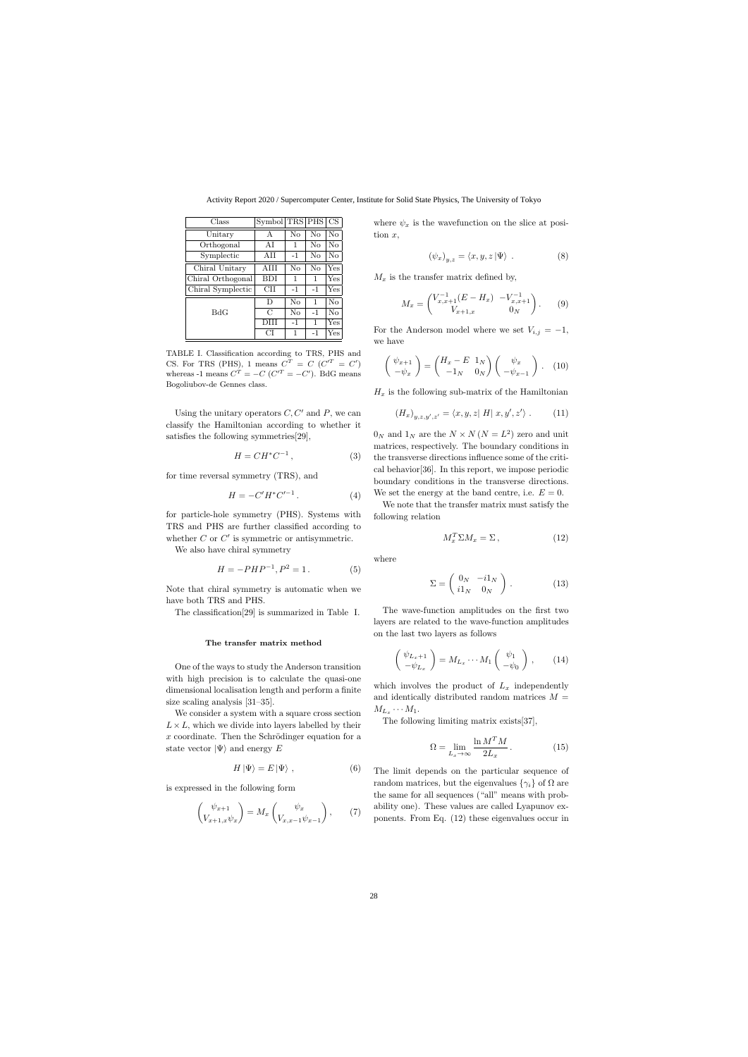Activity Report 2020 / Supercomputer Center, Institute for Solid State Physics, The University of Tokyo

| Class             | Symbol     |          | TRS PHS | CS.            |
|-------------------|------------|----------|---------|----------------|
| Unitary           | А          | $\rm No$ | No      | N <sub>o</sub> |
| Orthogonal        | ΑI         | 1        | No      | No             |
| Symplectic        | AH         | $-1$     | No      | No             |
| Chiral Unitary    | AHI        | No       | No      | Yes            |
| Chiral Orthogonal | <b>BDI</b> | 1        | 1       | Yes            |
| Chiral Symplectic | CН         | $-1$     | $-1$    | Yes            |
|                   | D          | No       | 1       | No             |
| BdG               | C          | $\rm No$ | $-1$    | No             |
|                   | DHI        | $-1$     | 1       | Yes            |
|                   | CI         | 1        | $-1$    | Yes            |

TABLE I. Classification according to TRS, PHS and CS. For TRS (PHS), 1 means  $C^T = C$  ( $C'^T = C'$ ) whereas -1 means  $C^{T} = -C(C^{T} = -C')$ . BdG means Bogoliubov-de Gennes class.

Using the unitary operators  $C, C'$  and P, we can classify the Hamiltonian according to whether it satisfies the following symmetries[29],

$$
H = CH^*C^{-1},\tag{3}
$$

for time reversal symmetry (TRS), and

$$
H = -C'H^*C'^{-1}.
$$
 (4)

for particle-hole symmetry (PHS). Systems with TRS and PHS are further classified according to whether  $C$  or  $C'$  is symmetric or antisymmetric.

We also have chiral symmetry

$$
H = -PHP^{-1}, P^2 = 1.
$$
 (5)

Note that chiral symmetry is automatic when we have both TRS and PHS.

The classification[29] is summarized in Table I.

### The transfer matrix method

One of the ways to study the Anderson transition with high precision is to calculate the quasi-one dimensional localisation length and perform a finite size scaling analysis [31–35].

We consider a system with a square cross section  $L \times L$ , which we divide into layers labelled by their  $x$  coordinate. Then the Schrödinger equation for a state vector  $|\Psi\rangle$  and energy E

$$
H|\Psi\rangle = E|\Psi\rangle , \qquad (6)
$$

is expressed in the following form

$$
\begin{pmatrix} \psi_{x+1} \\ V_{x+1,x} \psi_x \end{pmatrix} = M_x \begin{pmatrix} \psi_x \\ V_{x,x-1} \psi_{x-1} \end{pmatrix}, \qquad (7)
$$

where  $\psi_x$  is the wavefunction on the slice at position  $x$ .

$$
(\psi_x)_{y,z} = \langle x, y, z | \Psi \rangle . \tag{8}
$$

 $M_x$  is the transfer matrix defined by,

$$
M_x = \begin{pmatrix} V_{x,x+1}^{-1}(E - H_x) & -V_{x,x+1}^{-1} \\ V_{x+1,x} & 0_N \end{pmatrix} . \tag{9}
$$

For the Anderson model where we set  $V_{i,j} = -1$ , we have

$$
\begin{pmatrix} \psi_{x+1} \\ -\psi_x \end{pmatrix} = \begin{pmatrix} H_x - E & 1_N \\ -1_N & 0_N \end{pmatrix} \begin{pmatrix} \psi_x \\ -\psi_{x-1} \end{pmatrix} . \quad (10)
$$

 $H_x$  is the following sub-matrix of the Hamiltonian

$$
(H_x)_{y,z,y',z'} = \langle x,y,z \vert H \vert x,y',z' \rangle . \qquad (11)
$$

 $0_N$  and  $1_N$  are the  $N \times N (N = L^2)$  zero and unit matrices, respectively. The boundary conditions in the transverse directions influence some of the critical behavior[36]. In this report, we impose periodic boundary conditions in the transverse directions. We set the energy at the band centre, i.e.  $E = 0$ .

We note that the transfer matrix must satisfy the following relation

$$
M_x^T \Sigma M_x = \Sigma \,, \tag{12}
$$

where

$$
\Sigma = \begin{pmatrix} 0_N & -i1_N \\ i1_N & 0_N \end{pmatrix} . \tag{13}
$$

The wave-function amplitudes on the first two layers are related to the wave-function amplitudes on the last two layers as follows

$$
\begin{pmatrix} \psi_{L_x+1} \\ -\psi_{L_x} \end{pmatrix} = M_{L_x} \cdots M_1 \begin{pmatrix} \psi_1 \\ -\psi_0 \end{pmatrix}, \qquad (14)
$$

which involves the product of  $L_x$  independently and identically distributed random matrices  $M =$  $M_{L_x}\cdots M_1.$ 

The following limiting matrix exists[37],

$$
\Omega = \lim_{L_x \to \infty} \frac{\ln M^T M}{2L_x} \,. \tag{15}
$$

The limit depends on the particular sequence of random matrices, but the eigenvalues  $\{\gamma_i\}$  of  $\Omega$  are the same for all sequences ("all" means with probability one). These values are called Lyapunov exponents. From Eq. (12) these eigenvalues occur in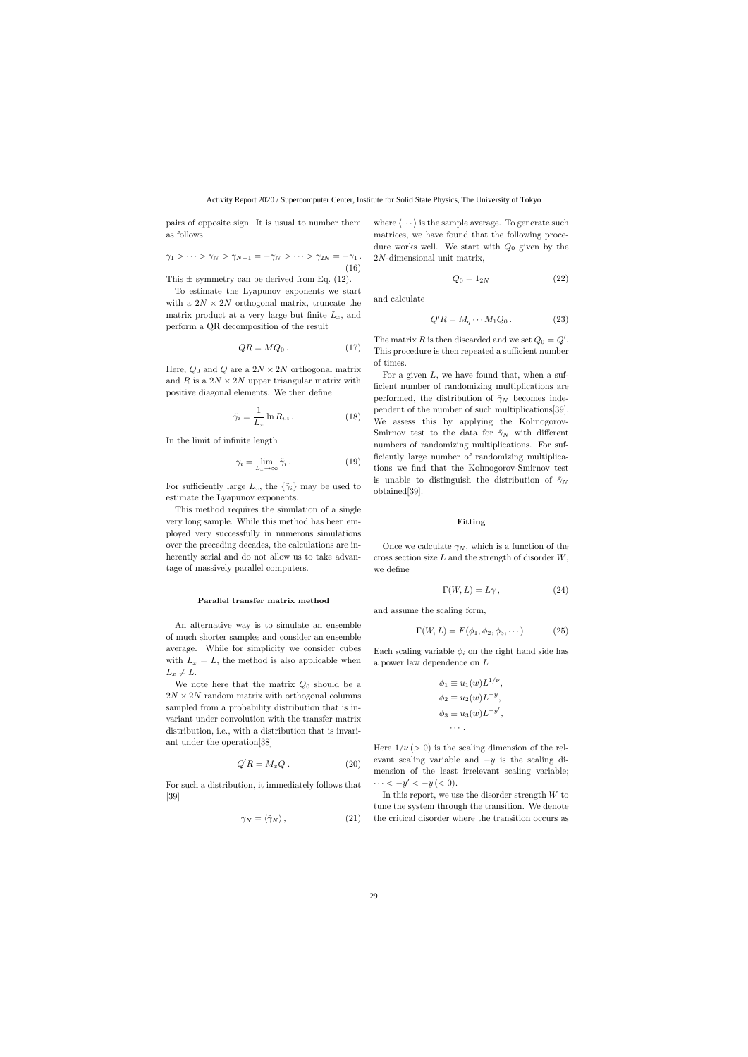pairs of opposite sign. It is usual to number them as follows

$$
\gamma_1 > \cdots > \gamma_N > \gamma_{N+1} = -\gamma_N > \cdots > \gamma_{2N} = -\gamma_1.
$$
\n(16)

This  $\pm$  symmetry can be derived from Eq. (12).

To estimate the Lyapunov exponents we start with a  $2N \times 2N$  orthogonal matrix, truncate the matrix product at a very large but finite  $L_x$ , and perform a QR decomposition of the result

$$
QR = MQ_0.
$$
 (17)

Here,  $Q_0$  and Q are a  $2N \times 2N$  orthogonal matrix and R is a  $2N \times 2N$  upper triangular matrix with positive diagonal elements. We then define

$$
\tilde{\gamma}_i = \frac{1}{L_x} \ln R_{i,i} \,. \tag{18}
$$

In the limit of infinite length

$$
\gamma_i = \lim_{L_x \to \infty} \tilde{\gamma}_i. \tag{19}
$$

For sufficiently large  $L_x$ , the  $\{\tilde{\gamma}_i\}$  may be used to estimate the Lyapunov exponents.

This method requires the simulation of a single very long sample. While this method has been employed very successfully in numerous simulations over the preceding decades, the calculations are inherently serial and do not allow us to take advantage of massively parallel computers.

### Parallel transfer matrix method

An alternative way is to simulate an ensemble of much shorter samples and consider an ensemble average. While for simplicity we consider cubes with  $L_x = L$ , the method is also applicable when  $L_x \neq L$ .

We note here that the matrix  $Q_0$  should be a  $2N \times 2N$  random matrix with orthogonal columns sampled from a probability distribution that is invariant under convolution with the transfer matrix distribution, i.e., with a distribution that is invariant under the operation[38]

$$
Q'R = M_x Q . \t\t(20)
$$

For such a distribution, it immediately follows that [39]

$$
\gamma_N = \langle \tilde{\gamma}_N \rangle \,, \tag{21}
$$

where  $\langle \cdots \rangle$  is the sample average. To generate such matrices, we have found that the following procedure works well. We start with  $Q_0$  given by the 2N-dimensional unit matrix,

$$
Q_0 = 1_{2N} \tag{22}
$$

and calculate

$$
Q'R = M_q \cdots M_1 Q_0. \tag{23}
$$

The matrix R is then discarded and we set  $Q_0 = Q'$ . This procedure is then repeated a sufficient number of times.

For a given  $L$ , we have found that, when a sufficient number of randomizing multiplications are performed, the distribution of  $\tilde{\gamma}_N$  becomes independent of the number of such multiplications[39]. We assess this by applying the Kolmogorov-Smirnov test to the data for  $\tilde{\gamma}_N$  with different numbers of randomizing multiplications. For sufficiently large number of randomizing multiplications we find that the Kolmogorov-Smirnov test is unable to distinguish the distribution of  $\tilde{\gamma}_N$ obtained[39].

### Fitting

Once we calculate  $\gamma_N$ , which is a function of the cross section size  $L$  and the strength of disorder  $W$ , we define

$$
\Gamma(W, L) = L\gamma \,,\tag{24}
$$

and assume the scaling form,

$$
\Gamma(W, L) = F(\phi_1, \phi_2, \phi_3, \cdots). \tag{25}
$$

Each scaling variable  $\phi_i$  on the right hand side has a power law dependence on L

$$
\phi_1 \equiv u_1(w)L^{1/\nu},
$$
  
\n
$$
\phi_2 \equiv u_2(w)L^{-y},
$$
  
\n
$$
\phi_3 \equiv u_3(w)L^{-y'},
$$
  
\n...

Here  $1/\nu$  ( $> 0$ ) is the scaling dimension of the relevant scaling variable and  $-y$  is the scaling dimension of the least irrelevant scaling variable;  $\cdots < -y' < -y < 0$ ).

In this report, we use the disorder strength  $W$  to tune the system through the transition. We denote the critical disorder where the transition occurs as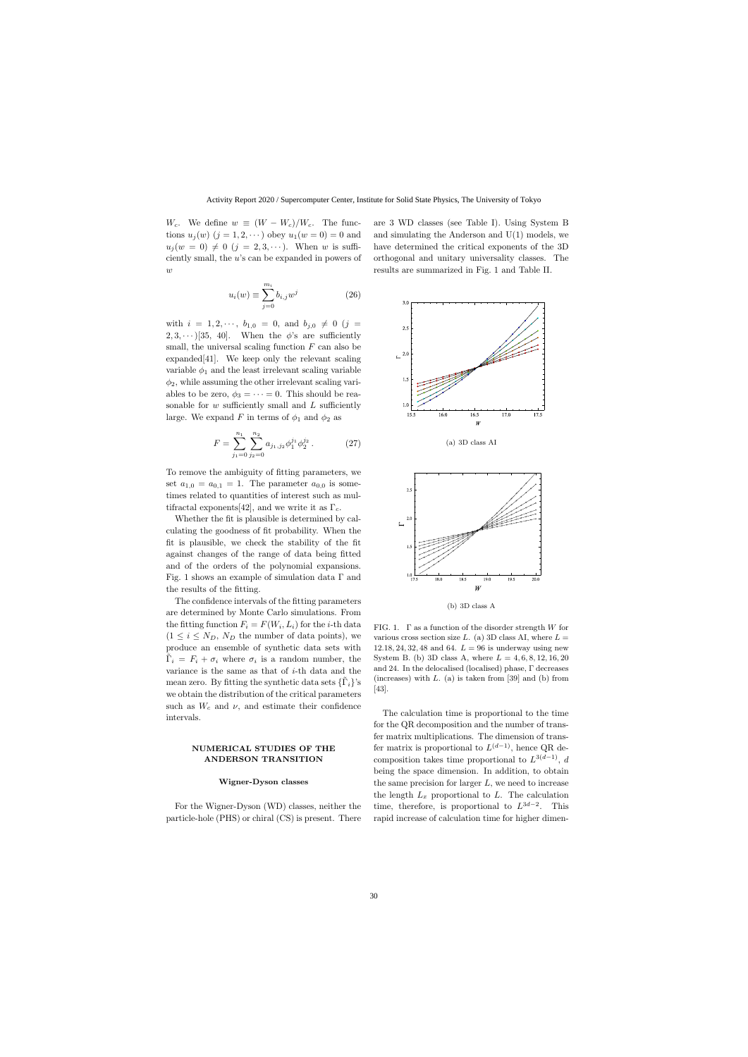$W_c$ . We define  $w \equiv (W - W_c)/W_c$ . The functions  $u_j(w)$   $(j = 1, 2, \dots)$  obey  $u_1(w = 0) = 0$  and  $u_j (w = 0) \neq 0 \ (j = 2, 3, \dots).$  When w is sufficiently small, the u's can be expanded in powers of  $\overline{w}$ 

$$
u_i(w) \equiv \sum_{j=0}^{m_i} b_{i,j} w^j
$$
 (26)

with  $i = 1, 2, \dots, b_{1,0} = 0$ , and  $b_{j,0} \neq 0$  (j =  $2, 3, \cdots$  [35, 40]. When the  $\phi$ 's are sufficiently small, the universal scaling function  $F$  can also be expanded[41]. We keep only the relevant scaling variable  $\phi_1$  and the least irrelevant scaling variable  $\phi_2$ , while assuming the other irrelevant scaling variables to be zero,  $\phi_3 = \cdots = 0$ . This should be reasonable for  $w$  sufficiently small and  $L$  sufficiently large. We expand F in terms of  $\phi_1$  and  $\phi_2$  as

$$
F = \sum_{j_1=0}^{n_1} \sum_{j_2=0}^{n_2} a_{j_1,j_2} \phi_1^{j_1} \phi_2^{j_2} . \tag{27}
$$

To remove the ambiguity of fitting parameters, we set  $a_{1,0} = a_{0,1} = 1$ . The parameter  $a_{0,0}$  is sometimes related to quantities of interest such as multifractal exponents[42], and we write it as  $\Gamma_c$ .

Whether the fit is plausible is determined by calculating the goodness of fit probability. When the fit is plausible, we check the stability of the fit against changes of the range of data being fitted and of the orders of the polynomial expansions. Fig. 1 shows an example of simulation data Γ and the results of the fitting.

The confidence intervals of the fitting parameters are determined by Monte Carlo simulations. From the fitting function  $F_i = F(W_i, L_i)$  for the *i*-th data  $(1 \leq i \leq N_D, N_D$  the number of data points), we produce an ensemble of synthetic data sets with  $\tilde{\Gamma}_i = F_i + \sigma_i$  where  $\sigma_i$  is a random number, the variance is the same as that of i-th data and the mean zero. By fitting the synthetic data sets  $\{\tilde{\Gamma}_i\}$ 's we obtain the distribution of the critical parameters such as  $W_c$  and  $\nu$ , and estimate their confidence intervals.

## NUMERICAL STUDIES OF THE ANDERSON TRANSITION

## Wigner-Dyson classes

For the Wigner-Dyson (WD) classes, neither the particle-hole (PHS) or chiral (CS) is present. There are 3 WD classes (see Table I). Using System B and simulating the Anderson and  $U(1)$  models, we have determined the critical exponents of the 3D orthogonal and unitary universality classes. The results are summarized in Fig. 1 and Table II.



(b) 3D class A

FIG. 1.  $\Gamma$  as a function of the disorder strength W for various cross section size L. (a) 3D class AI, where  $L =$ 12.18, 24, 32, 48 and 64.  $L = 96$  is underway using new System B. (b) 3D class A, where  $L = 4, 6, 8, 12, 16, 20$ and 24. In the delocalised (localised) phase, Γ decreases (increases) with  $L.$  (a) is taken from [39] and (b) from [43].

The calculation time is proportional to the time for the QR decomposition and the number of transfer matrix multiplications. The dimension of transfer matrix is proportional to  $L^{(d-1)}$ , hence QR decomposition takes time proportional to  $L^{3(d-1)}$ , d being the space dimension. In addition, to obtain the same precision for larger  $L$ , we need to increase the length  $L_x$  proportional to  $L$ . The calculation time, therefore, is proportional to  $L^{3d-2}$ . This rapid increase of calculation time for higher dimen-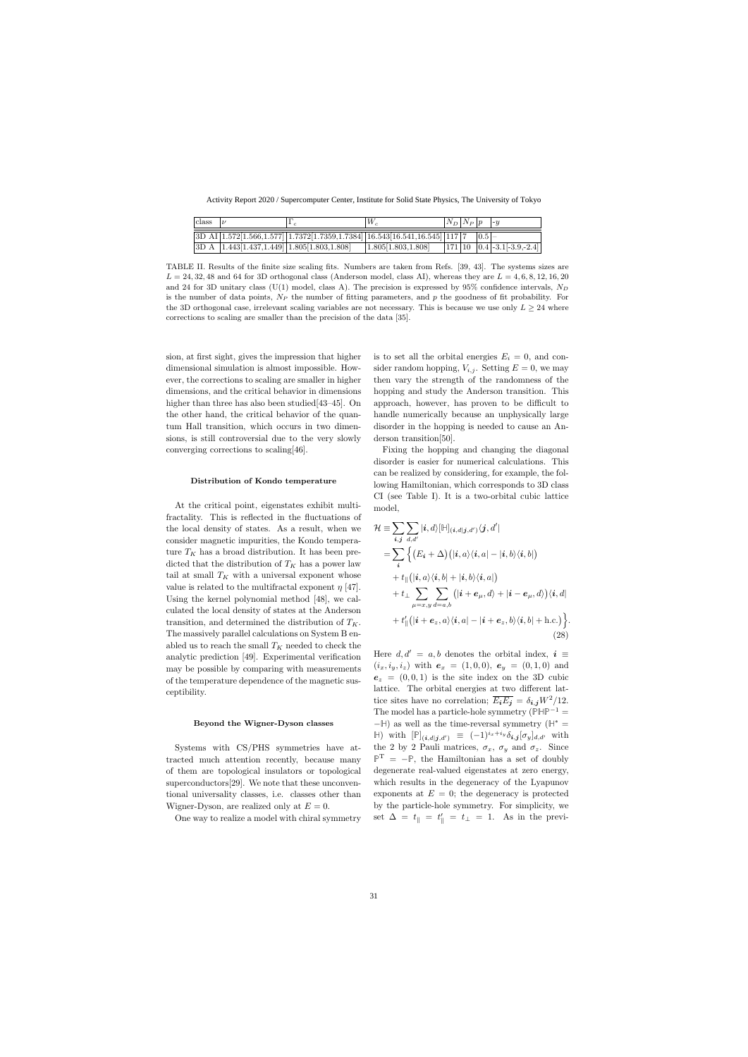| class $ \nu $ |                                                                                                                                                                                                     | $W_c$                                                                                                              | $ N_D N_P p $ -y |  |  |
|---------------|-----------------------------------------------------------------------------------------------------------------------------------------------------------------------------------------------------|--------------------------------------------------------------------------------------------------------------------|------------------|--|--|
|               | $3D \text{ AI} \left  1.572 \left[ 1.566, 1.577 \right] \right  1.7372 \left[ 1.7359, 1.7384 \right] \left  16.543 \left[ 16.541, 16.545 \right] \right  117 \left  7 \right  \left  0.5 \right  -$ |                                                                                                                    |                  |  |  |
|               | $ 3D A   1.443[1.437, 1.449]   1.805[1.803, 1.808]$                                                                                                                                                 | $\vert 1.805 \vert 1.803, 1.808 \vert$ $\vert 171 \vert 10 \vert 0.4 \vert 0.4 \vert 0.3.1 \vert 0.3.9, 2.4 \vert$ |                  |  |  |

TABLE II. Results of the finite size scaling fits. Numbers are taken from Refs. [39, 43]. The systems sizes are  $L = 24, 32, 48$  and 64 for 3D orthogonal class (Anderson model, class AI), whereas they are  $L = 4, 6, 8, 12, 16, 20$ and 24 for 3D unitary class (U(1) model, class A). The precision is expressed by 95% confidence intervals,  $N_D$ is the number of data points,  $N_P$  the number of fitting parameters, and p the goodness of fit probability. For the 3D orthogonal case, irrelevant scaling variables are not necessary. This is because we use only  $L \geq 24$  where corrections to scaling are smaller than the precision of the data [35].

sion, at first sight, gives the impression that higher dimensional simulation is almost impossible. However, the corrections to scaling are smaller in higher dimensions, and the critical behavior in dimensions higher than three has also been studied [43–45]. On the other hand, the critical behavior of the quantum Hall transition, which occurs in two dimensions, is still controversial due to the very slowly converging corrections to scaling[46].

### Distribution of Kondo temperature

At the critical point, eigenstates exhibit multifractality. This is reflected in the fluctuations of the local density of states. As a result, when we consider magnetic impurities, the Kondo temperature  $T_K$  has a broad distribution. It has been predicted that the distribution of  $T_K$  has a power law tail at small  $T_K$  with a universal exponent whose value is related to the multifractal exponent  $\eta$  [47]. Using the kernel polynomial method [48], we calculated the local density of states at the Anderson transition, and determined the distribution of  $T_K$ . The massively parallel calculations on System B enabled us to reach the small  $T_K$  needed to check the analytic prediction [49]. Experimental verification may be possible by comparing with measurements of the temperature dependence of the magnetic susceptibility.

### Beyond the Wigner-Dyson classes

Systems with CS/PHS symmetries have attracted much attention recently, because many of them are topological insulators or topological superconductors[29]. We note that these unconventional universality classes, i.e. classes other than Wigner-Dyson, are realized only at  $E = 0$ .

One way to realize a model with chiral symmetry

is to set all the orbital energies  $E_i = 0$ , and consider random hopping,  $V_{i,j}$ . Setting  $E = 0$ , we may then vary the strength of the randomness of the hopping and study the Anderson transition. This approach, however, has proven to be difficult to handle numerically because an unphysically large disorder in the hopping is needed to cause an Anderson transition[50].

Fixing the hopping and changing the diagonal disorder is easier for numerical calculations. This can be realized by considering, for example, the following Hamiltonian, which corresponds to 3D class CI (see Table I). It is a two-orbital cubic lattice model,

$$
\mathcal{H} \equiv \sum_{i,j} \sum_{d,d'} |i,d\rangle [\mathbb{H}]_{(i,d|j,d')} \langle j,d'|
$$
\n
$$
= \sum_{i} \left\{ (E_i + \Delta) (|i,a\rangle \langle i,a| - |i,b\rangle \langle i,b|) + t_{\parallel} (|i,a\rangle \langle i,b| + |i,b\rangle \langle i,a|) + t_{\perp} \sum_{\mu=x,y} \sum_{d=a,b} (|i+e_{\mu},d\rangle + |i-e_{\mu},d\rangle) \langle i,d| + t'_{\parallel} (|i+e_z,a\rangle \langle i,a| - |i+e_z,b\rangle \langle i,b| + \text{h.c.}) \right\}.
$$
\n(28)

Here  $d, d' = a, b$  denotes the orbital index,  $i \equiv$  $(i_x, i_y, i_z)$  with  $e_x = (1, 0, 0), e_y = (0, 1, 0)$  and  $e_z = (0, 0, 1)$  is the site index on the 3D cubic lattice. The orbital energies at two different lattice sites have no correlation;  $\overline{E_i E_j} = \delta_{i,j} W^2 / 12$ . The model has a particle-hole symmetry ( $\mathbb{P}\mathbb{HP}^{-1}$  =  $-$  H) as well as the time-reversal symmetry ( $H^*$  = **H**) with  $[\mathbb{P}]_{(i,d|j,d')} \equiv (-1)^{i_x+i_y} \delta_{i,j} [\sigma_y]_{d,d'}$  with the 2 by 2 Pauli matrices,  $\sigma_x$ ,  $\sigma_y$  and  $\sigma_z$ . Since  $\mathbb{P}^{\mathrm{T}}$  =  $-\mathbb{P}$ , the Hamiltonian has a set of doubly degenerate real-valued eigenstates at zero energy, which results in the degeneracy of the Lyapunov exponents at  $E = 0$ ; the degeneracy is protected by the particle-hole symmetry. For simplicity, we set  $\Delta = t_{\parallel} = t'_{\parallel} = t_{\perp} = 1$ . As in the previ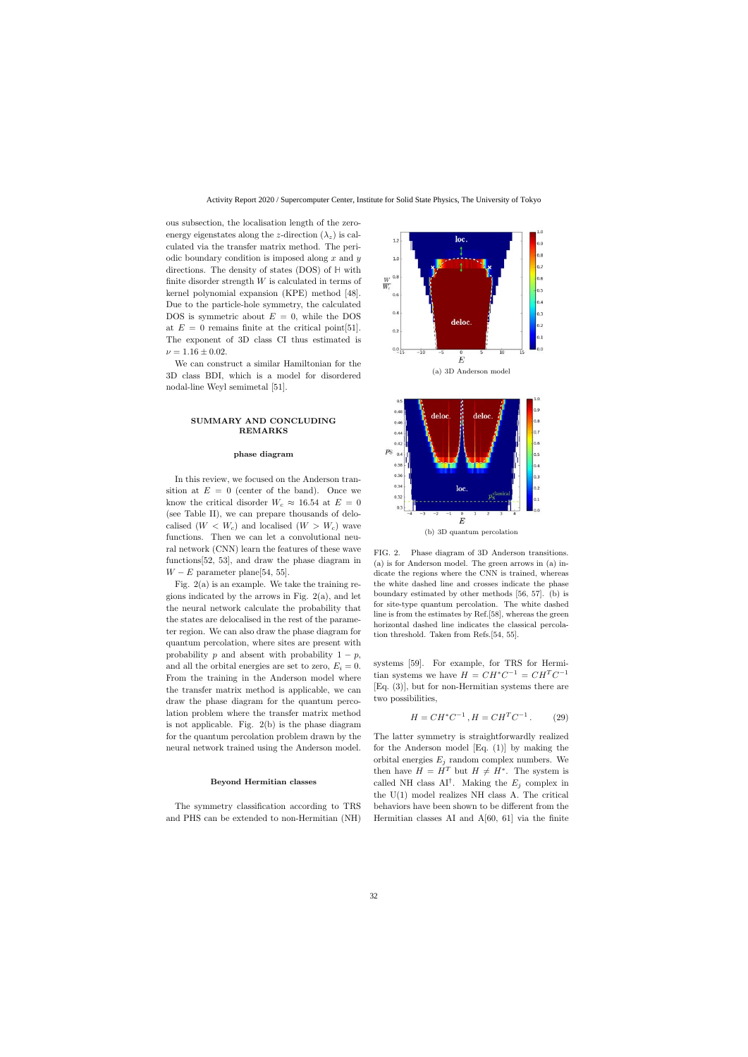ous subsection, the localisation length of the zeroenergy eigenstates along the z-direction  $(\lambda_z)$  is calculated via the transfer matrix method. The periodic boundary condition is imposed along  $x$  and  $y$ directions. The density of states (DOS) of **H** with finite disorder strength  $W$  is calculated in terms of kernel polynomial expansion (KPE) method [48]. Due to the particle-hole symmetry, the calculated DOS is symmetric about  $E = 0$ , while the DOS at  $E = 0$  remains finite at the critical point [51]. The exponent of 3D class CI thus estimated is  $\nu = 1.16 \pm 0.02$ .

We can construct a similar Hamiltonian for the 3D class BDI, which is a model for disordered nodal-line Weyl semimetal [51].

## SUMMARY AND CONCLUDING REMARKS

### phase diagram

In this review, we focused on the Anderson transition at  $E = 0$  (center of the band). Once we know the critical disorder  $W_c \approx 16.54$  at  $E = 0$ (see Table II), we can prepare thousands of delocalised  $(W < W_c)$  and localised  $(W > W_c)$  wave functions. Then we can let a convolutional neural network (CNN) learn the features of these wave functions[52, 53], and draw the phase diagram in  $W - E$  parameter plane[54, 55].

Fig.  $2(a)$  is an example. We take the training regions indicated by the arrows in Fig. 2(a), and let the neural network calculate the probability that the states are delocalised in the rest of the parameter region. We can also draw the phase diagram for quantum percolation, where sites are present with probability p and absent with probability  $1 - p$ , and all the orbital energies are set to zero,  $E_i = 0$ . From the training in the Anderson model where the transfer matrix method is applicable, we can draw the phase diagram for the quantum percolation problem where the transfer matrix method is not applicable. Fig. 2(b) is the phase diagram for the quantum percolation problem drawn by the neural network trained using the Anderson model.

## Beyond Hermitian classes

The symmetry classification according to TRS and PHS can be extended to non-Hermitian (NH)



FIG. 2. Phase diagram of 3D Anderson transitions. (a) is for Anderson model. The green arrows in (a) indicate the regions where the CNN is trained, whereas the white dashed line and crosses indicate the phase boundary estimated by other methods [56, 57]. (b) is for site-type quantum percolation. The white dashed line is from the estimates by Ref.[58], whereas the green horizontal dashed line indicates the classical percolation threshold. Taken from Refs.[54, 55].

systems [59]. For example, for TRS for Hermitian systems we have  $H = CH^*C^{-1} = CH^TC^{-1}$ [Eq. (3)], but for non-Hermitian systems there are two possibilities,

$$
H = CH^*C^{-1}, H = CH^TC^{-1}.
$$
 (29)

The latter symmetry is straightforwardly realized for the Anderson model [Eq. (1)] by making the orbital energies  $E_j$  random complex numbers. We then have  $H = H^T$  but  $H \neq H^*$ . The system is called NH class AI<sup>†</sup>. Making the  $E_j$  complex in the U(1) model realizes NH class A. The critical behaviors have been shown to be different from the Hermitian classes AI and A[60, 61] via the finite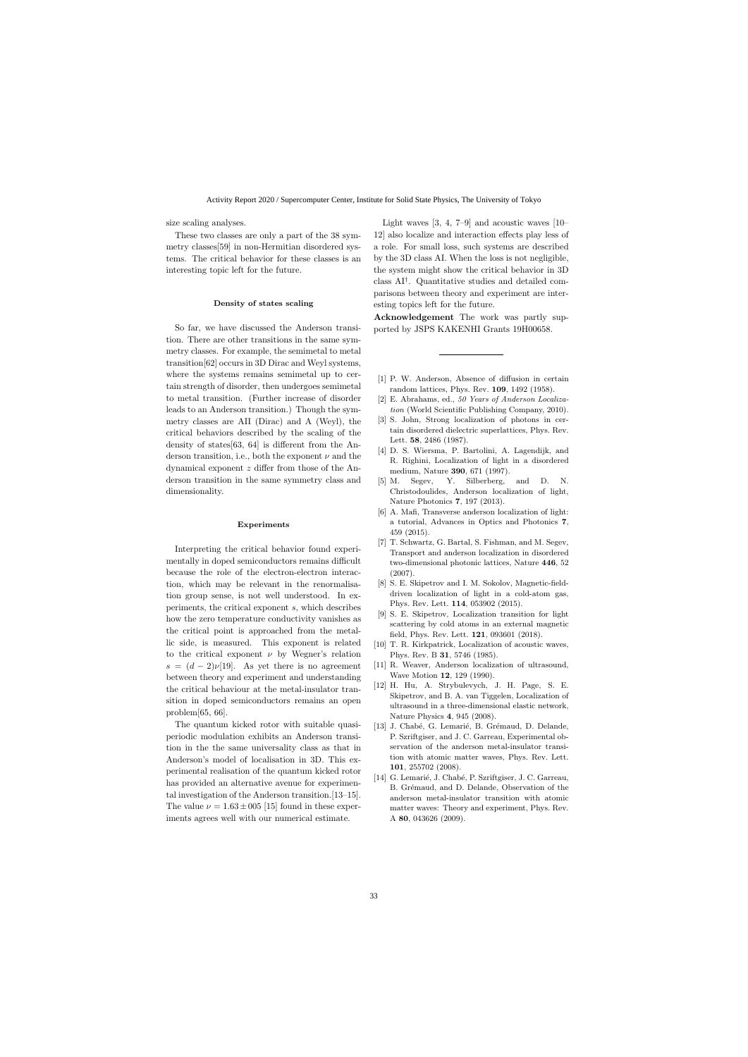size scaling analyses.

These two classes are only a part of the 38 symmetry classes[59] in non-Hermitian disordered systems. The critical behavior for these classes is an interesting topic left for the future.

#### Density of states scaling

So far, we have discussed the Anderson transition. There are other transitions in the same symmetry classes. For example, the semimetal to metal transition[62] occurs in 3D Dirac and Weyl systems, where the systems remains semimetal up to certain strength of disorder, then undergoes semimetal to metal transition. (Further increase of disorder leads to an Anderson transition.) Though the symmetry classes are AII (Dirac) and A (Weyl), the critical behaviors described by the scaling of the density of states[63, 64] is different from the Anderson transition, i.e., both the exponent  $\nu$  and the dynamical exponent z differ from those of the Anderson transition in the same symmetry class and dimensionality.

### Experiments

Interpreting the critical behavior found experimentally in doped semiconductors remains difficult because the role of the electron-electron interaction, which may be relevant in the renormalisation group sense, is not well understood. In experiments, the critical exponent s, which describes how the zero temperature conductivity vanishes as the critical point is approached from the metallic side, is measured. This exponent is related to the critical exponent  $\nu$  by Wegner's relation  $s = (d-2)\nu[19]$ . As yet there is no agreement between theory and experiment and understanding the critical behaviour at the metal-insulator transition in doped semiconductors remains an open problem[65, 66].

The quantum kicked rotor with suitable quasiperiodic modulation exhibits an Anderson transition in the the same universality class as that in Anderson's model of localisation in 3D. This experimental realisation of the quantum kicked rotor has provided an alternative avenue for experimental investigation of the Anderson transition.[13–15]. The value  $\nu = 1.63 \pm 005$  [15] found in these experiments agrees well with our numerical estimate.

Light waves [3, 4, 7–9] and acoustic waves [10– 12] also localize and interaction effects play less of a role. For small loss, such systems are described by the 3D class AI. When the loss is not negligible, the system might show the critical behavior in 3D class AI† . Quantitative studies and detailed comparisons between theory and experiment are interesting topics left for the future.

Acknowledgement The work was partly supported by JSPS KAKENHI Grants 19H00658.

- [1] P. W. Anderson, Absence of diffusion in certain random lattices, Phys. Rev. 109, 1492 (1958).
- [2] E. Abrahams, ed., 50 Years of Anderson Localization (World Scientific Publishing Company, 2010).
- [3] S. John, Strong localization of photons in certain disordered dielectric superlattices, Phys. Rev. Lett. 58, 2486 (1987).
- [4] D. S. Wiersma, P. Bartolini, A. Lagendijk, and R. Righini, Localization of light in a disordered medium, Nature 390, 671 (1997).
- [5] M. Segev, Y. Silberberg, and D. N. Christodoulides, Anderson localization of light, Nature Photonics 7, 197 (2013).
- [6] A. Mafi, Transverse anderson localization of light: a tutorial, Advances in Optics and Photonics 7, 459 (2015).
- [7] T. Schwartz, G. Bartal, S. Fishman, and M. Segev, Transport and anderson localization in disordered two-dimensional photonic lattices, Nature 446, 52 (2007).
- [8] S. E. Skipetrov and I. M. Sokolov, Magnetic-fielddriven localization of light in a cold-atom gas, Phys. Rev. Lett. 114, 053902 (2015).
- [9] S. E. Skipetrov, Localization transition for light scattering by cold atoms in an external magnetic field, Phys. Rev. Lett. 121, 093601 (2018).
- [10] T. R. Kirkpatrick, Localization of acoustic waves, Phys. Rev. B 31, 5746 (1985).
- [11] R. Weaver, Anderson localization of ultrasound, Wave Motion 12, 129 (1990).
- [12] H. Hu, A. Strybulevych, J. H. Page, S. E. Skipetrov, and B. A. van Tiggelen, Localization of ultrasound in a three-dimensional elastic network, Nature Physics 4, 945 (2008).
- [13] J. Chabé, G. Lemarié, B. Grémaud, D. Delande, P. Szriftgiser, and J. C. Garreau, Experimental observation of the anderson metal-insulator transition with atomic matter waves, Phys. Rev. Lett. 101, 255702 (2008).
- [14] G. Lemarié, J. Chabé, P. Szriftgiser, J. C. Garreau, B. Grémaud, and D. Delande, Observation of the anderson metal-insulator transition with atomic matter waves: Theory and experiment, Phys. Rev. A 80, 043626 (2009).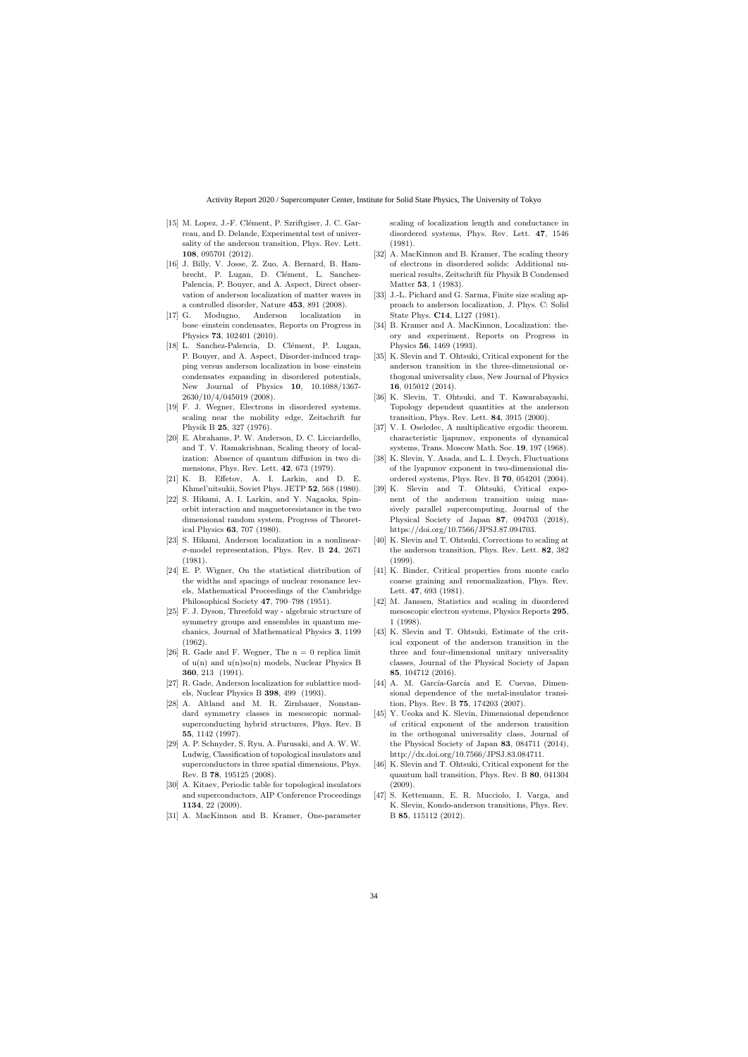- [15] M. Lopez, J.-F. Clément, P. Szriftgiser, J. C. Garreau, and D. Delande, Experimental test of universality of the anderson transition, Phys. Rev. Lett. 108, 095701 (2012).
- [16] J. Billy, V. Josse, Z. Zuo, A. Bernard, B. Hambrecht, P. Lugan, D. Clément, L. Sanchez-Palencia, P. Bouyer, and A. Aspect, Direct observation of anderson localization of matter waves in a controlled disorder, Nature 453, 891 (2008).
- [17] G. Modugno, Anderson localization in bose–einstein condensates, Reports on Progress in Physics 73, 102401 (2010).
- [18] L. Sanchez-Palencia, D. Clément, P. Lugan, P. Bouyer, and A. Aspect, Disorder-induced trapping versus anderson localization in bose–einstein condensates expanding in disordered potentials, New Journal of Physics 10, 10.1088/1367- 2630/10/4/045019 (2008).
- [19] F. J. Wegner, Electrons in disordered systems. scaling near the mobility edge, Zeitschrift fur Physik B 25, 327 (1976).
- [20] E. Abrahams, P. W. Anderson, D. C. Licciardello, and T. V. Ramakrishnan, Scaling theory of localization: Absence of quantum diffusion in two dimensions, Phys. Rev. Lett. 42, 673 (1979).
- [21] K. B. Effetov, A. I. Larkin, and D. E. Khmel'nitsukii, Soviet Phys. JETP 52, 568 (1980).
- [22] S. Hikami, A. I. Larkin, and Y. Nagaoka, Spinorbit interaction and magnetoresistance in the two dimensional random system, Progress of Theoretical Physics 63, 707 (1980).
- [23] S. Hikami, Anderson localization in a nonlinear- $\sigma$ -model representation, Phys. Rev. B 24, 2671 (1981).
- [24] E. P. Wigner, On the statistical distribution of the widths and spacings of nuclear resonance levels, Mathematical Proceedings of the Cambridge Philosophical Society 47, 790–798 (1951).
- [25] F. J. Dyson, Threefold way algebraic structure of symmetry groups and ensembles in quantum mechanics, Journal of Mathematical Physics 3, 1199 (1962).
- [26] R. Gade and F. Wegner, The  $n = 0$  replica limit of  $u(n)$  and  $u(n)so(n)$  models, Nuclear Physics B 360, 213 (1991).
- [27] R. Gade, Anderson localization for sublattice models, Nuclear Physics B 398, 499 (1993).
- [28] A. Altland and M. R. Zirnbauer, Nonstandard symmetry classes in mesoscopic normalsuperconducting hybrid structures, Phys. Rev. B 55, 1142 (1997).
- [29] A. P. Schnyder, S. Ryu, A. Furusaki, and A. W. W. Ludwig, Classification of topological insulators and superconductors in three spatial dimensions, Phys. Rev. B 78, 195125 (2008).
- [30] A. Kitaev, Periodic table for topological insulators and superconductors, AIP Conference Proceedings 1134, 22 (2009).
- [31] A. MacKinnon and B. Kramer, One-parameter

scaling of localization length and conductance in disordered systems, Phys. Rev. Lett. 47, 1546 (1981).

- [32] A. MacKinnon and B. Kramer, The scaling theory of electrons in disordered solids: Additional numerical results, Zeitschrift für Physik B Condensed Matter 53, 1 (1983).
- [33] J.-L. Pichard and G. Sarma, Finite size scaling approach to anderson localization, J. Phys. C: Solid State Phys. C14, L127 (1981).
- [34] B. Kramer and A. MacKinnon, Localization: theory and experiment, Reports on Progress in Physics 56, 1469 (1993).
- [35] K. Slevin and T. Ohtsuki, Critical exponent for the anderson transition in the three-dimensional orthogonal universality class, New Journal of Physics 16, 015012 (2014).
- [36] K. Slevin, T. Ohtsuki, and T. Kawarabayashi, Topology dependent quantities at the anderson transition, Phys. Rev. Lett. 84, 3915 (2000).
- [37] V. I. Oseledec, A multiplicative ergodic theorem. characteristic ljapunov, exponents of dynamical systems, Trans. Moscow Math. Soc. 19, 197 (1968).
- [38] K. Slevin, Y. Asada, and L. I. Deych, Fluctuations of the lyapunov exponent in two-dimensional disordered systems, Phys. Rev. B 70, 054201 (2004).
- [39] K. Slevin and T. Ohtsuki, Critical exponent of the anderson transition using massively parallel supercomputing, Journal of the Physical Society of Japan 87, 094703 (2018), https://doi.org/10.7566/JPSJ.87.094703.
- [40] K. Slevin and T. Ohtsuki, Corrections to scaling at the anderson transition, Phys. Rev. Lett. 82, 382 (1999).
- [41] K. Binder, Critical properties from monte carlo coarse graining and renormalization, Phys. Rev. Lett. 47, 693 (1981).
- [42] M. Janssen, Statistics and scaling in disordered mesoscopic electron systems, Physics Reports 295, 1 (1998).
- [43] K. Slevin and T. Ohtsuki, Estimate of the critical exponent of the anderson transition in the three and four-dimensional unitary universality classes, Journal of the Physical Society of Japan 85, 104712 (2016).
- [44] A. M. García-García and E. Cuevas, Dimensional dependence of the metal-insulator transition, Phys. Rev. B 75, 174203 (2007).
- [45] Y. Ueoka and K. Slevin, Dimensional dependence of critical exponent of the anderson transition in the orthogonal universality class, Journal of the Physical Society of Japan 83, 084711 (2014), http://dx.doi.org/10.7566/JPSJ.83.084711.
- [46] K. Slevin and T. Ohtsuki, Critical exponent for the quantum hall transition, Phys. Rev. B 80, 041304 (2009).
- [47] S. Kettemann, E. R. Mucciolo, I. Varga, and K. Slevin, Kondo-anderson transitions, Phys. Rev. B 85, 115112 (2012).